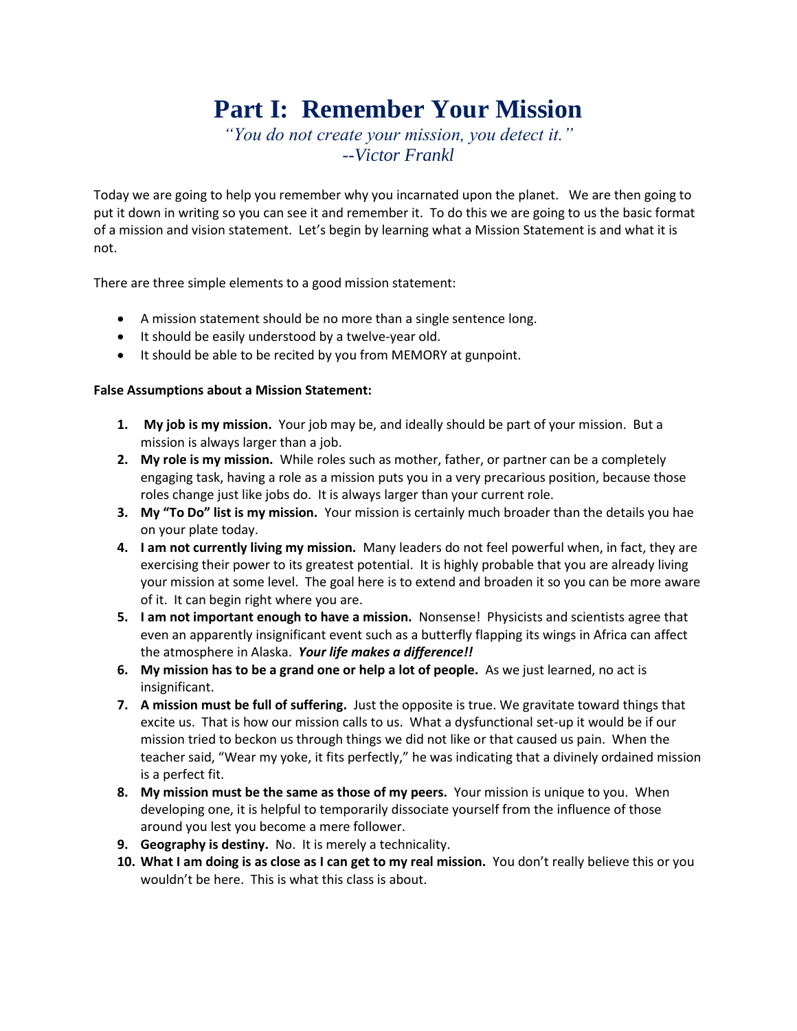# **Part I: Remember Your Mission**

*"You do not create your mission, you detect it." --Victor Frankl*

Today we are going to help you remember why you incarnated upon the planet. We are then going to put it down in writing so you can see it and remember it. To do this we are going to us the basic format of a mission and vision statement. Let's begin by learning what a Mission Statement is and what it is not.

There are three simple elements to a good mission statement:

- A mission statement should be no more than a single sentence long.
- It should be easily understood by a twelve-year old.
- It should be able to be recited by you from MEMORY at gunpoint.

### **False Assumptions about a Mission Statement:**

- **1. My job is my mission.** Your job may be, and ideally should be part of your mission. But a mission is always larger than a job.
- **2. My role is my mission.** While roles such as mother, father, or partner can be a completely engaging task, having a role as a mission puts you in a very precarious position, because those roles change just like jobs do. It is always larger than your current role.
- **3. My "To Do" list is my mission.** Your mission is certainly much broader than the details you hae on your plate today.
- **4. I am not currently living my mission.** Many leaders do not feel powerful when, in fact, they are exercising their power to its greatest potential. It is highly probable that you are already living your mission at some level. The goal here is to extend and broaden it so you can be more aware of it. It can begin right where you are.
- **5. I am not important enough to have a mission.** Nonsense! Physicists and scientists agree that even an apparently insignificant event such as a butterfly flapping its wings in Africa can affect the atmosphere in Alaska. *Your life makes a difference!!*
- **6. My mission has to be a grand one or help a lot of people.** As we just learned, no act is insignificant.
- **7. A mission must be full of suffering.** Just the opposite is true. We gravitate toward things that excite us. That is how our mission calls to us. What a dysfunctional set-up it would be if our mission tried to beckon us through things we did not like or that caused us pain. When the teacher said, "Wear my yoke, it fits perfectly," he was indicating that a divinely ordained mission is a perfect fit.
- **8. My mission must be the same as those of my peers.** Your mission is unique to you. When developing one, it is helpful to temporarily dissociate yourself from the influence of those around you lest you become a mere follower.
- **9. Geography is destiny.** No. It is merely a technicality.
- **10. What I am doing is as close as I can get to my real mission.** You don't really believe this or you wouldn't be here. This is what this class is about.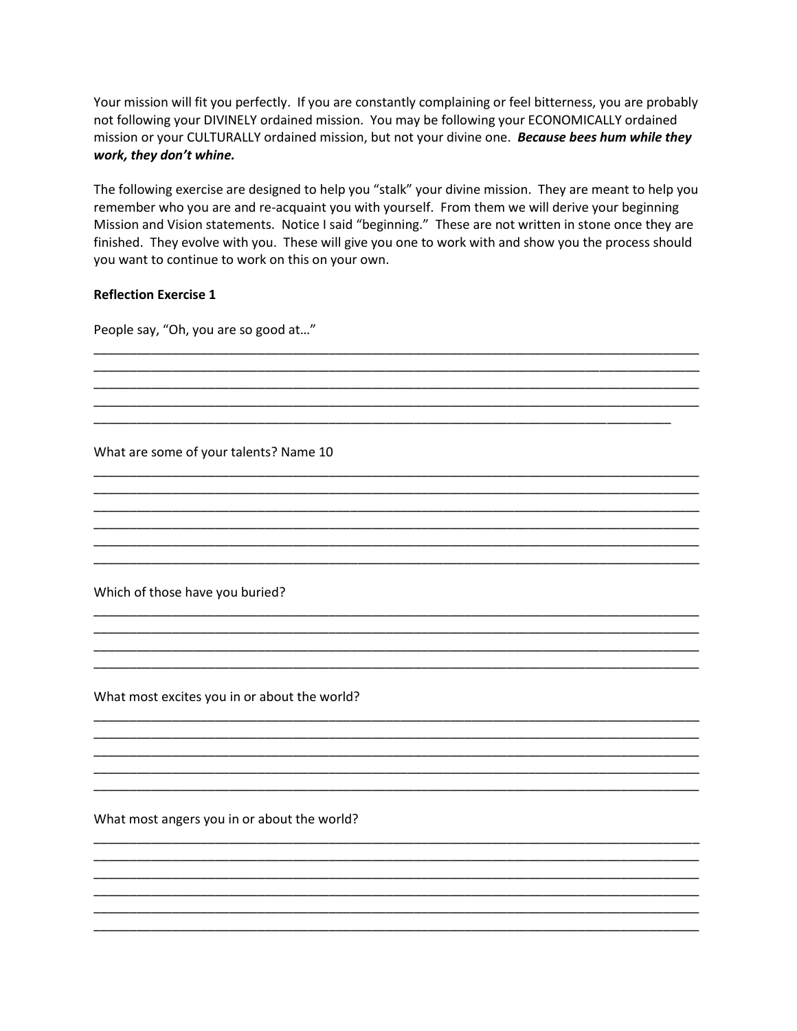Your mission will fit you perfectly. If you are constantly complaining or feel bitterness, you are probably not following your DIVINELY ordained mission. You may be following your ECONOMICALLY ordained mission or your CULTURALLY ordained mission, but not your divine one. Because bees hum while they work, they don't whine.

The following exercise are designed to help you "stalk" your divine mission. They are meant to help you remember who you are and re-acquaint you with yourself. From them we will derive your beginning Mission and Vision statements. Notice I said "beginning." These are not written in stone once they are finished. They evolve with you. These will give you one to work with and show you the process should you want to continue to work on this on your own.

#### **Reflection Exercise 1**

People say, "Oh, you are so good at..."

What are some of your talents? Name 10

Which of those have you buried?

What most excites you in or about the world?

What most angers you in or about the world?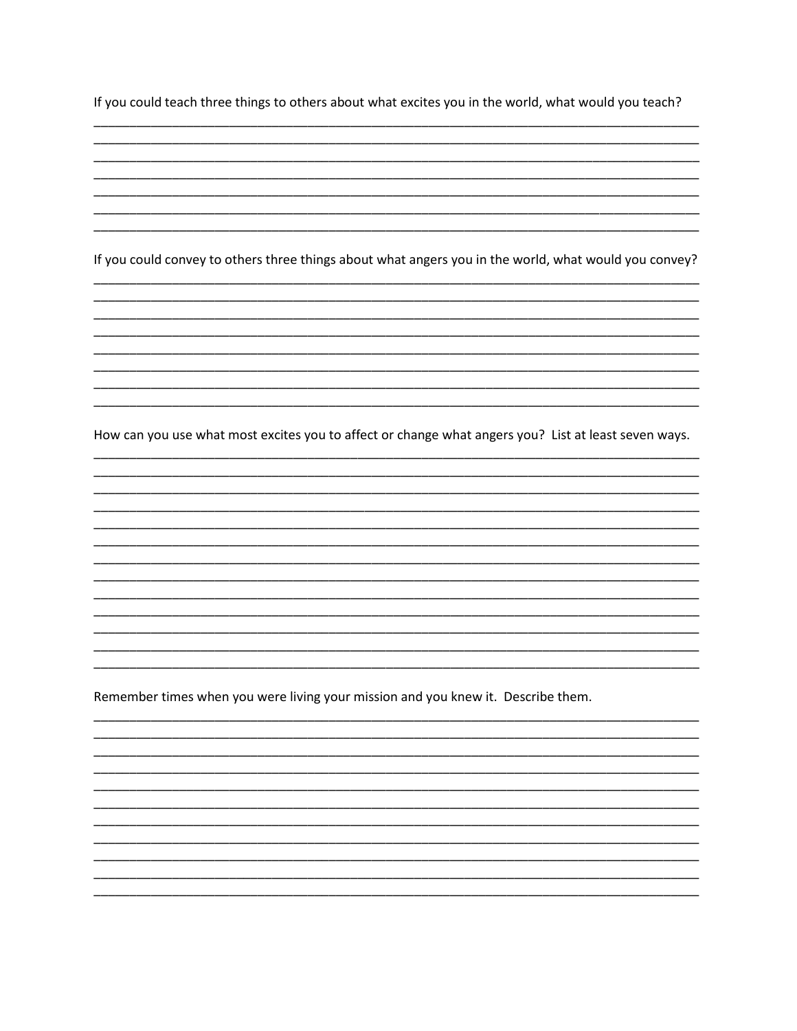If you could teach three things to others about what excites you in the world, what would you teach?

If you could convey to others three things about what angers you in the world, what would you convey?

How can you use what most excites you to affect or change what angers you? List at least seven ways.

Remember times when you were living your mission and you knew it. Describe them.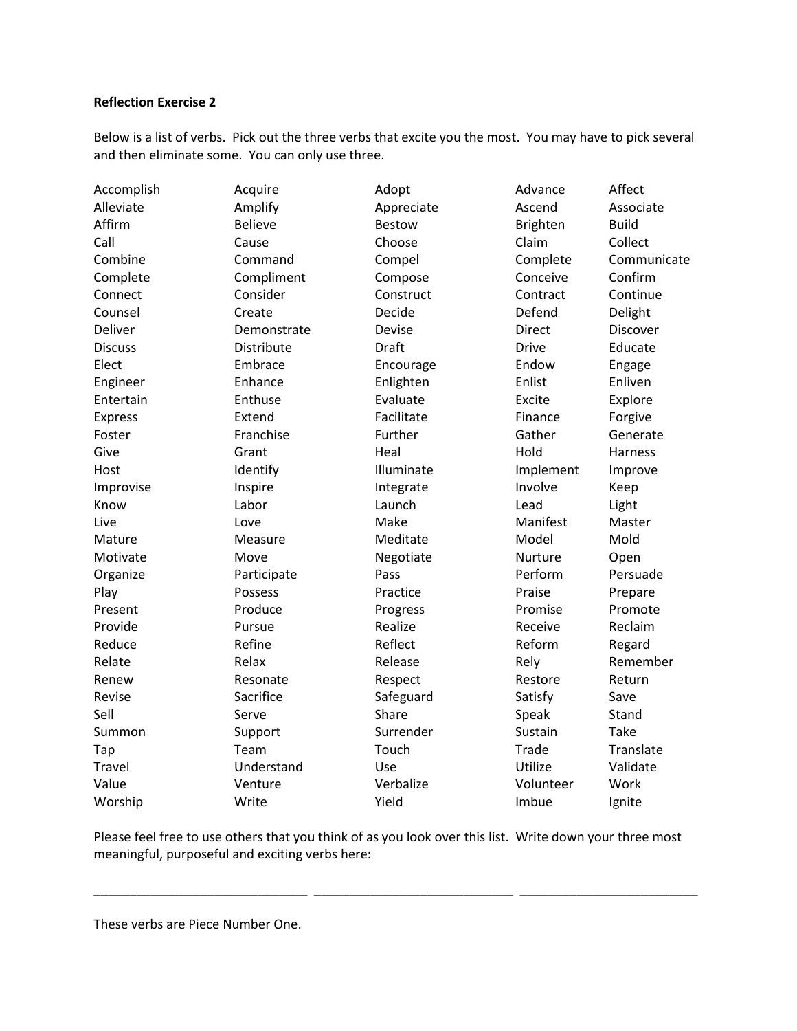## **Reflection Exercise 2**

Below is a list of verbs. Pick out the three verbs that excite you the most. You may have to pick several and then eliminate some. You can only use three.

| Accomplish     | Acquire        | Adopt         | Advance         | Affect       |
|----------------|----------------|---------------|-----------------|--------------|
| Alleviate      | Amplify        | Appreciate    | Ascend          | Associate    |
| Affirm         | <b>Believe</b> | <b>Bestow</b> | <b>Brighten</b> | <b>Build</b> |
| Call           | Cause          | Choose        | Claim           | Collect      |
| Combine        | Command        | Compel        | Complete        | Communicate  |
| Complete       | Compliment     | Compose       | Conceive        | Confirm      |
| Connect        | Consider       | Construct     | Contract        | Continue     |
| Counsel        | Create         | Decide        | Defend          | Delight      |
| Deliver        | Demonstrate    | Devise        | <b>Direct</b>   | Discover     |
| <b>Discuss</b> | Distribute     | <b>Draft</b>  | <b>Drive</b>    | Educate      |
| Elect          | Embrace        | Encourage     | Endow           | Engage       |
| Engineer       | Enhance        | Enlighten     | Enlist          | Enliven      |
| Entertain      | Enthuse        | Evaluate      | Excite          | Explore      |
| <b>Express</b> | Extend         | Facilitate    | Finance         | Forgive      |
| Foster         | Franchise      | Further       | Gather          | Generate     |
| Give           | Grant          | Heal          | Hold            | Harness      |
| Host           | Identify       | Illuminate    | Implement       | Improve      |
| Improvise      | Inspire        | Integrate     | Involve         | Keep         |
| Know           | Labor          | Launch        | Lead            | Light        |
| Live           | Love           | Make          | Manifest        | Master       |
| Mature         | Measure        | Meditate      | Model           | Mold         |
| Motivate       | Move           | Negotiate     | Nurture         | Open         |
| Organize       | Participate    | Pass          | Perform         | Persuade     |
| Play           | Possess        | Practice      | Praise          | Prepare      |
| Present        | Produce        | Progress      | Promise         | Promote      |
| Provide        | Pursue         | Realize       | Receive         | Reclaim      |
| Reduce         | Refine         | Reflect       | Reform          | Regard       |
| Relate         | Relax          | Release       | Rely            | Remember     |
| Renew          | Resonate       | Respect       | Restore         | Return       |
| Revise         | Sacrifice      | Safeguard     | Satisfy         | Save         |
| Sell           | Serve          | Share         | Speak           | Stand        |
| Summon         | Support        | Surrender     | Sustain         | <b>Take</b>  |
| Tap            | Team           | Touch         | Trade           | Translate    |
| Travel         | Understand     | Use           | Utilize         | Validate     |
| Value          | Venture        | Verbalize     | Volunteer       | Work         |
| Worship        | Write          | Yield         | Imbue           | Ignite       |

Please feel free to use others that you think of as you look over this list. Write down your three most meaningful, purposeful and exciting verbs here:

\_\_\_\_\_\_\_\_\_\_\_\_\_\_\_\_\_\_\_\_\_\_\_\_\_\_\_\_\_\_ \_\_\_\_\_\_\_\_\_\_\_\_\_\_\_\_\_\_\_\_\_\_\_\_\_\_\_\_ \_\_\_\_\_\_\_\_\_\_\_\_\_\_\_\_\_\_\_\_\_\_\_\_\_

These verbs are Piece Number One.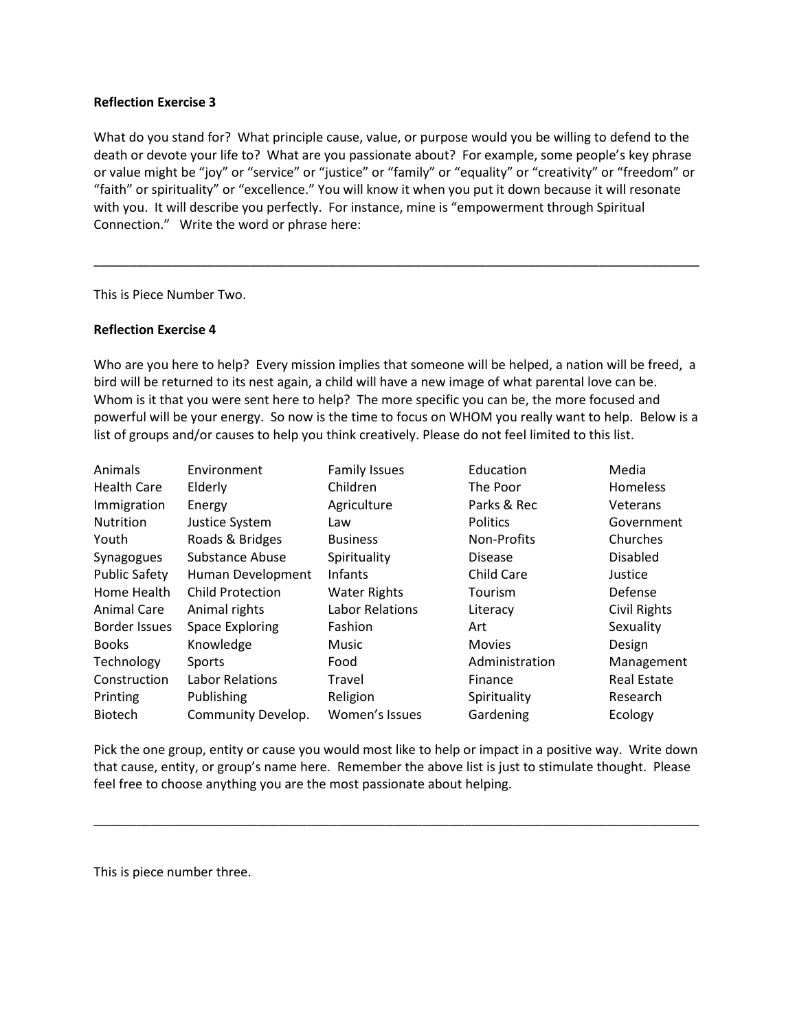#### **Reflection Exercise 3**

What do you stand for? What principle cause, value, or purpose would you be willing to defend to the death or devote your life to? What are you passionate about? For example, some people's key phrase or value might be "joy" or "service" or "justice" or "family" or "equality" or "creativity" or "freedom" or "faith" or spirituality" or "excellence." You will know it when you put it down because it will resonate with you. It will describe you perfectly. For instance, mine is "empowerment through Spiritual Connection." Write the word or phrase here:

\_\_\_\_\_\_\_\_\_\_\_\_\_\_\_\_\_\_\_\_\_\_\_\_\_\_\_\_\_\_\_\_\_\_\_\_\_\_\_\_\_\_\_\_\_\_\_\_\_\_\_\_\_\_\_\_\_\_\_\_\_\_\_\_\_\_\_\_\_\_\_\_\_\_\_\_\_\_\_\_\_\_\_\_\_

This is Piece Number Two.

#### **Reflection Exercise 4**

Who are you here to help? Every mission implies that someone will be helped, a nation will be freed, a bird will be returned to its nest again, a child will have a new image of what parental love can be. Whom is it that you were sent here to help? The more specific you can be, the more focused and powerful will be your energy. So now is the time to focus on WHOM you really want to help. Below is a list of groups and/or causes to help you think creatively. Please do not feel limited to this list.

| Animals              | Environment             | <b>Family Issues</b>   | Education       | Media              |
|----------------------|-------------------------|------------------------|-----------------|--------------------|
| <b>Health Care</b>   | Elderly                 | Children               | The Poor        | Homeless           |
| Immigration          | Energy                  | Agriculture            | Parks & Rec     | Veterans           |
| <b>Nutrition</b>     | Justice System          | Law                    | <b>Politics</b> | Government         |
| Youth                | Roads & Bridges         | <b>Business</b>        | Non-Profits     | Churches           |
| Synagogues           | Substance Abuse         | Spirituality           | <b>Disease</b>  | <b>Disabled</b>    |
| <b>Public Safety</b> | Human Development       | <b>Infants</b>         | Child Care      | Justice            |
| Home Health          | <b>Child Protection</b> | <b>Water Rights</b>    | <b>Tourism</b>  | Defense            |
| Animal Care          | Animal rights           | <b>Labor Relations</b> | Literacy        | Civil Rights       |
| Border Issues        | <b>Space Exploring</b>  | Fashion                | Art             | Sexuality          |
| <b>Books</b>         | Knowledge               | Music                  | <b>Movies</b>   | Design             |
| Technology           | Sports                  | Food                   | Administration  | Management         |
| Construction         | <b>Labor Relations</b>  | Travel                 | Finance         | <b>Real Estate</b> |
| Printing             | Publishing              | Religion               | Spirituality    | Research           |
| <b>Biotech</b>       | Community Develop.      | Women's Issues         | Gardening       | Ecology            |

Pick the one group, entity or cause you would most like to help or impact in a positive way. Write down that cause, entity, or group's name here. Remember the above list is just to stimulate thought. Please feel free to choose anything you are the most passionate about helping.

\_\_\_\_\_\_\_\_\_\_\_\_\_\_\_\_\_\_\_\_\_\_\_\_\_\_\_\_\_\_\_\_\_\_\_\_\_\_\_\_\_\_\_\_\_\_\_\_\_\_\_\_\_\_\_\_\_\_\_\_\_\_\_\_\_\_\_\_\_\_\_\_\_\_\_\_\_\_\_\_\_\_\_\_\_

This is piece number three.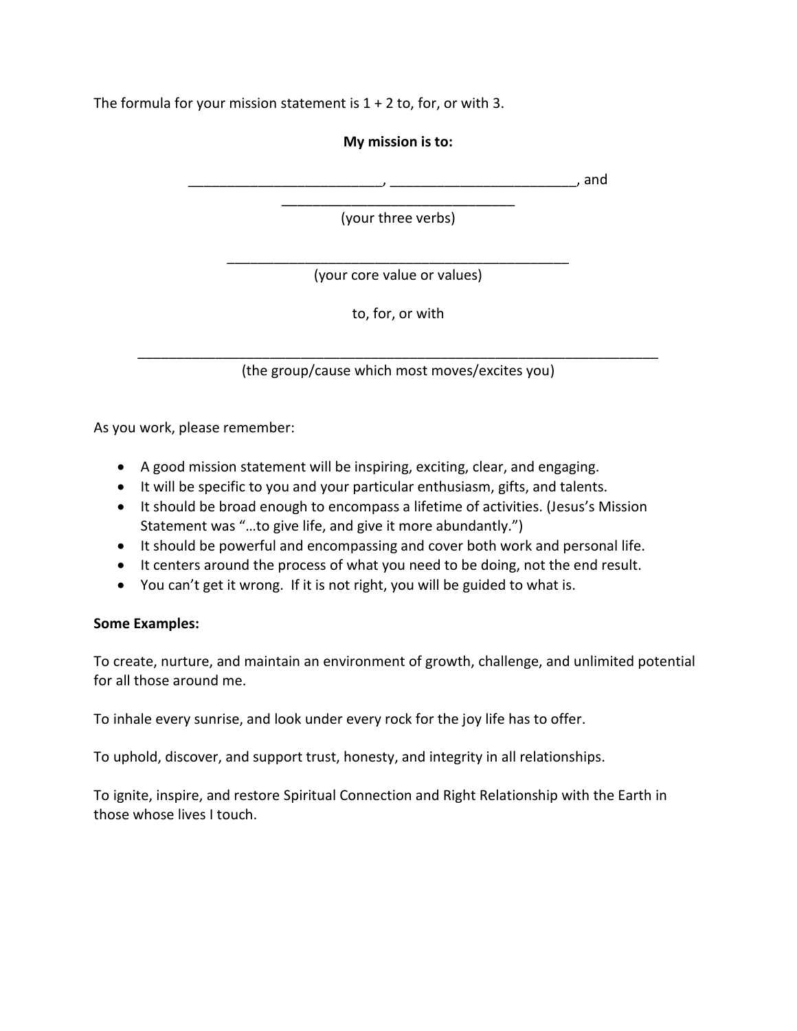The formula for your mission statement is  $1 + 2$  to, for, or with 3.

## **My mission is to:**

 $\Box$ , and

\_\_\_\_\_\_\_\_\_\_\_\_\_\_\_\_\_\_\_\_\_\_\_\_\_\_\_\_\_\_ (your three verbs)

\_\_\_\_\_\_\_\_\_\_\_\_\_\_\_\_\_\_\_\_\_\_\_\_\_\_\_\_\_\_\_\_\_\_\_\_\_\_\_\_\_\_\_\_ (your core value or values)

to, for, or with

\_\_\_\_\_\_\_\_\_\_\_\_\_\_\_\_\_\_\_\_\_\_\_\_\_\_\_\_\_\_\_\_\_\_\_\_\_\_\_\_\_\_\_\_\_\_\_\_\_\_\_\_\_\_\_\_\_\_\_\_\_\_\_\_\_\_\_ (the group/cause which most moves/excites you)

As you work, please remember:

- A good mission statement will be inspiring, exciting, clear, and engaging.
- It will be specific to you and your particular enthusiasm, gifts, and talents.
- It should be broad enough to encompass a lifetime of activities. (Jesus's Mission Statement was "…to give life, and give it more abundantly.")
- It should be powerful and encompassing and cover both work and personal life.
- It centers around the process of what you need to be doing, not the end result.
- You can't get it wrong. If it is not right, you will be guided to what is.

## **Some Examples:**

To create, nurture, and maintain an environment of growth, challenge, and unlimited potential for all those around me.

To inhale every sunrise, and look under every rock for the joy life has to offer.

To uphold, discover, and support trust, honesty, and integrity in all relationships.

To ignite, inspire, and restore Spiritual Connection and Right Relationship with the Earth in those whose lives I touch.